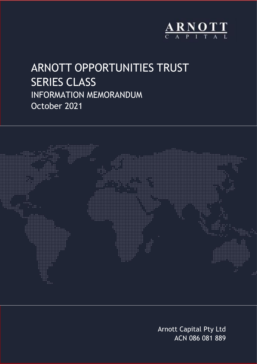

# ARNOTT OPPORTUNITIES TRUST SERIES CLASS INFORMATION MEMORANDUM October 2021



Arnott Capital Pty Ltd ACN 086 081 889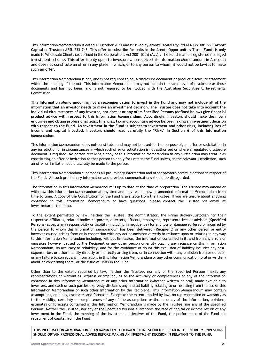This Information Memorandum is dated 19 October 2021 and is issued by Arnott Capital Pty Ltd ACN 086 081 889 (**Arnott Capital** or **Trustee**) AFSL 233 743. This offer to subscribe for units in the Arnott Opportunities Trust (**Fund**) is only made to Wholesale Clients (as defined in the Corporations Act 2001 (Cth) (**Act**)). The Fund is an unregistered managed investment scheme. This offer is only open to investors who receive this Information Memorandum in Australia and does not constitute an offer in any place in which, or to any person to whom, it would not be lawful to make such an offer.

This Information Memorandum is not, and is not required to be, a disclosure document or product disclosure statement within the meaning of the Act. This Information Memorandum may not contain the same level of disclosure as those documents and has not been, and is not required to be, lodged with the Australian Securities & Investments Commission.

**This Information Memorandum is not a recommendation to invest in the Fund and may not include all of the information that an investor needs to make an investment decision. The Trustee does not take into account the individual circumstances of any investor, nor does it or any of its Specified Persons (defined below) give financial product advice with respect to this Information Memorandum. Accordingly, investors should make their own enquiries and obtain professional legal, financial, tax and accounting advice before making an investment decision with respect to the Fund. An investment in the Fund is subject to investment and other risks, including loss of income and capital invested. Investors should read carefully the "Risks" in Section 6 of this Information Memorandum.**

This Information Memorandum does not constitute, and may not be used for the purpose of, an offer or solicitation in any jurisdiction or in circumstances in which such offer or solicitation is not authorised or where a regulated disclosure document is required. No person receiving a copy of this Information Memorandum in any jurisdiction may treat it as constituting an offer or invitation to that person to apply for units in the Fund unless, in the relevant jurisdiction, such an offer or invitation could lawfully be made to the person.

This Information Memorandum supersedes all preliminary information and other previous communications in respect of the Fund. All such preliminary information and previous communications should be disregarded.

The information in this Information Memorandum is up to date at the time of preparation. The Trustee may amend or withdraw this Information Memorandum at any time and may issue a new or amended Information Memorandum from time to time. A copy of the Constitution for the Fund is available from the Trustee. If you are unsure about anything contained in this Information Memorandum or have questions, please contact the Trustee via email at investor@arnott.com.au.

To the extent permitted by law, neither the Trustee, the Administrator, the Prime Broker/Custodian nor their respective affiliates, related bodies corporate, directors, officers, employees, representatives or advisors (**Specified Persons**) accepts any responsibility or liability (including in negligence) for any loss or damage suffered or incurred by the person to whom this Information Memorandum has been delivered (**Recipient**) or any other person or entity however caused arising from or in connection with any act or omission directly in reliance upon or relating in any way to this Information Memorandum including, without limitation, the information contained in it, and from any errors or omissions however caused by the Recipient or any other person or entity placing any reliance on this Information Memorandum, its accuracy or reliability, and for the avoidance of doubt this exclusion of liability includes any cost, expense, loss or other liability directly or indirectly arising from, or in connection with, any omission from or defects, or any failure to correct any information, in this Information Memorandum or any other communication (oral or written) about or concerning them, or the issue of units in the Fund.

Other than to the extent required by law, neither the Trustee, nor any of the Specified Persons makes any representations or warranties, express or implied, as to the accuracy or completeness of any of the information contained in this Information Memorandum or any other information (whether written or oral) made available to investors, and each of such parties expressly disclaims any and all liability relating to or resulting from the use of this Information Memorandum or such other information by the Recipient. This Information Memorandum may contain assumptions, opinions, estimates and forecasts. Except to the extent implied by law, no representation or warranty as to the validity, certainty or completeness of any of the assumptions or the accuracy of the information, opinions, estimates or forecasts contained in this Information Memorandum is made by the Trustee, nor any of the Specified Persons. Neither the Trustee, nor any of the Specified Persons guarantees the rate of capital or income return of any investment in the Fund, the meeting of the investment objectives of the Fund, the performance of the Fund nor repayment of capital from the Fund.

**THIS INFORMATION MEMORANDUM IS AN IMPORTANT DOCUMENT THAT SHOULD BE READ IN ITS ENTIRETY. INVESTORS SHOULD OBTAIN PROFESSIONAL ADVICE BEFORE MAKING AN INVESTMENT DECISION IN RELATION TO THE FUND.**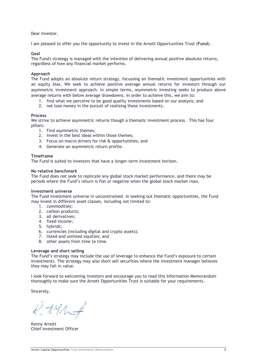Dear Investor,

I am pleased to offer you the opportunity to invest in the Arnott Opportunities Trust (**Fund**).

#### **Goal**

The Fund's strategy is managed with the intention of delivering annual positive absolute returns, regardless of how any financial market performs.

#### **Approach**

The Fund adopts an absolute return strategy, focussing on thematic investment opportunities with an equity bias. We seek to achieve positive average annual returns for investors through our asymmetric investment approach. In simple terms, asymmetric investing seeks to produce above average returns with below average drawdowns. In order to achieve this, we aim to:

- 1. find what we perceive to be good quality investments based on our analysis; and
- 2. not lose money in the pursuit of realising these investments.

#### **Process**

We strive to achieve asymmetric returns though a thematic investment process. This has four pillars:

- 1. Find asymmetric themes;
- 2. Invest in the best ideas within those themes;
- 3. Focus on macro drivers for risk & opportunities; and
- 4. Generate an asymmetric return profile.

#### **Timeframe**

The Fund is suited to investors that have a longer-term investment horizon.

#### **No relative benchmark**

The Fund does not seek to replicate any global stock market performance, and there may be periods where the Fund's return is flat or negative when the global stock market rises.

#### **Investment universe**

The Fund investment universe in unconstrained. In seeking out thematic opportunities, the Fund may invest in different asset classes, including not limited to:

- 1. commodities;
- 2. carbon products;
- 3. all derivatives;
- 4. fixed income;
- 5. hybrids;
- 6. currencies (including digital and crypto assets);
- 7. listed and unlisted equities; and
- 8. other assets from time to time.

#### **Leverage and short selling**

The Fund's strategy may include the use of leverage to enhance the Fund's exposure to certain investments. The strategy may also short sell securities where the investment manager believes they may fall in value.

I look forward to welcoming investors and encourage you to read this Information Memorandum thoroughly to make sure the Arnott Opportunities Trust is suitable for your requirements.

Sincerely,

 $k$ - $tM\rightarrow$ 

Kenny Arnott Chief Investment Officer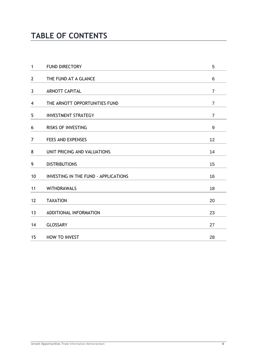## **TABLE OF CONTENTS**

| $\mathbf{1}$   | <b>FUND DIRECTORY</b>                | 5              |
|----------------|--------------------------------------|----------------|
| $\overline{2}$ | THE FUND AT A GLANCE                 | 6              |
| 3              | <b>ARNOTT CAPITAL</b>                | $\overline{7}$ |
| 4              | THE ARNOTT OPPORTUNITIES FUND        | $\overline{7}$ |
| 5              | <b>INVESTMENT STRATEGY</b>           | $\overline{7}$ |
| 6              | <b>RISKS OF INVESTING</b>            | 9              |
| 7              | <b>FEES AND EXPENSES</b>             | 12             |
| 8              | UNIT PRICING AND VALUATIONS          | 14             |
| 9              | <b>DISTRIBUTIONS</b>                 | 15             |
| 10             | INVESTING IN THE FUND - APPLICATIONS | 16             |
| 11             | <b>WITHDRAWALS</b>                   | 18             |
| 12             | <b>TAXATION</b>                      | 20             |
| 13             | ADDITIONAL INFORMATION               | 23             |
| 14             | <b>GLOSSARY</b>                      | 27             |
| 15             | <b>HOW TO INVEST</b>                 | 28             |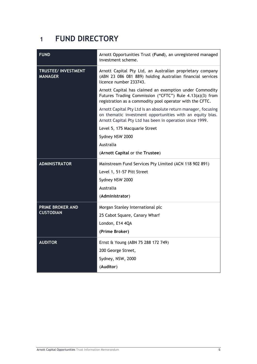## <span id="page-4-0"></span>**1 FUND DIRECTORY**

| Arnott Opportunities Trust (Fund), an unregistered managed<br>investment scheme.                                                                                                        |
|-----------------------------------------------------------------------------------------------------------------------------------------------------------------------------------------|
| Arnott Capital Pty Ltd, an Australian proprietary company<br>(ABN 23 086 081 889) holding Australian financial services<br>licence number 233743.                                       |
| Arnott Capital has claimed an exemption under Commodity<br>Futures Trading Commission ("CFTC") Rule 4.13(a)(3) from<br>registration as a commodity pool operator with the CFTC.         |
| Arnott Capital Pty Ltd is an absolute return manager, focusing<br>on thematic investment opportunities with an equity bias.<br>Arnott Capital Pty Ltd has been in operation since 1999. |
| Level 5, 175 Macquarie Street                                                                                                                                                           |
| Sydney NSW 2000                                                                                                                                                                         |
| Australia                                                                                                                                                                               |
| (Arnott Capital or the Trustee)                                                                                                                                                         |
| Mainstream Fund Services Pty Limited (ACN 118 902 891)                                                                                                                                  |
| Level 1, 51-57 Pitt Street                                                                                                                                                              |
| Sydney NSW 2000                                                                                                                                                                         |
| Australia                                                                                                                                                                               |
| (Administrator)                                                                                                                                                                         |
| Morgan Stanley International plc                                                                                                                                                        |
| 25 Cabot Square, Canary Wharf                                                                                                                                                           |
| London, E14 4QA                                                                                                                                                                         |
| (Prime Broker)                                                                                                                                                                          |
| Ernst & Young (ABN 75 288 172 749)                                                                                                                                                      |
| 200 George Street,                                                                                                                                                                      |
| Sydney, NSW, 2000                                                                                                                                                                       |
|                                                                                                                                                                                         |
|                                                                                                                                                                                         |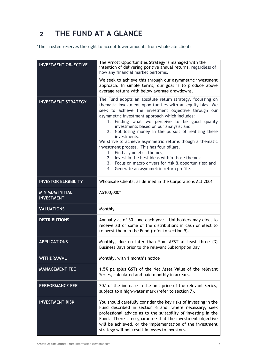## **2 THE FUND AT A GLANCE**

\*The Trustee reserves the right to accept lower amounts from wholesale clients.

<span id="page-5-0"></span>

| <b>INVESTMENT OBJECTIVE</b>                 | The Arnott Opportunities Strategy is managed with the<br>intention of delivering positive annual returns, regardless of<br>how any financial market performs.<br>We seek to achieve this through our asymmetric investment<br>approach. In simple terms, our goal is to produce above                                                                                                                                                                                                                                                                                                                                                                                                                      |
|---------------------------------------------|------------------------------------------------------------------------------------------------------------------------------------------------------------------------------------------------------------------------------------------------------------------------------------------------------------------------------------------------------------------------------------------------------------------------------------------------------------------------------------------------------------------------------------------------------------------------------------------------------------------------------------------------------------------------------------------------------------|
|                                             | average returns with below average drawdowns.                                                                                                                                                                                                                                                                                                                                                                                                                                                                                                                                                                                                                                                              |
| <b>INVESTMENT STRATEGY</b>                  | The Fund adopts an absolute return strategy, focussing on<br>thematic investment opportunities with an equity bias. We<br>seek to achieve the investment objective through our<br>asymmetric investment approach which includes:<br>1. Finding what we perceive to be good quality<br>investments based on our analysis; and<br>2. Not losing money in the pursuit of realising these<br>investments.<br>We strive to achieve asymmetric returns though a thematic<br>investment process. This has four pillars.<br>1. Find asymmetric themes;<br>2. Invest in the best ideas within those themes;<br>3. Focus on macro drivers for risk & opportunities; and<br>4. Generate an asymmetric return profile. |
| <b>INVESTOR ELIGIBILITY</b>                 | Wholesale Clients, as defined in the Corporations Act 2001                                                                                                                                                                                                                                                                                                                                                                                                                                                                                                                                                                                                                                                 |
| <b>MINIMUM INITIAL</b><br><b>INVESTMENT</b> | A\$100,000*                                                                                                                                                                                                                                                                                                                                                                                                                                                                                                                                                                                                                                                                                                |
| <b>VALUATIONS</b>                           | Monthly                                                                                                                                                                                                                                                                                                                                                                                                                                                                                                                                                                                                                                                                                                    |
| <b>DISTRIBUTIONS</b>                        | Annually as of 30 June each year. Unitholders may elect to<br>receive all or some of the distributions in cash or elect to<br>reinvest them in the Fund (refer to section 9).                                                                                                                                                                                                                                                                                                                                                                                                                                                                                                                              |
| <b>APPLICATIONS</b>                         | Monthly, due no later than 5pm AEST at least three (3)<br>Business Days prior to the relevant Subscription Day                                                                                                                                                                                                                                                                                                                                                                                                                                                                                                                                                                                             |
| <b>WITHDRAWAL</b>                           | Monthly, with 1 month's notice                                                                                                                                                                                                                                                                                                                                                                                                                                                                                                                                                                                                                                                                             |
| <b>MANAGEMENT FEE</b>                       | 1.5% pa (plus GST) of the Net Asset Value of the relevant<br>Series, calculated and paid monthly in arrears.                                                                                                                                                                                                                                                                                                                                                                                                                                                                                                                                                                                               |
| <b>PERFORMANCE FEE</b>                      | 20% of the increase in the unit price of the relevant Series,<br>subject to a high-water mark (refer to section 7).                                                                                                                                                                                                                                                                                                                                                                                                                                                                                                                                                                                        |
| <b>INVESTMENT RISK</b>                      | You should carefully consider the key risks of investing in the<br>Fund described in section 6 and, where necessary, seek<br>professional advice as to the suitability of investing in the<br>Fund. There is no guarantee that the investment objective<br>will be achieved, or the implementation of the investment<br>strategy will not result in losses to investors.                                                                                                                                                                                                                                                                                                                                   |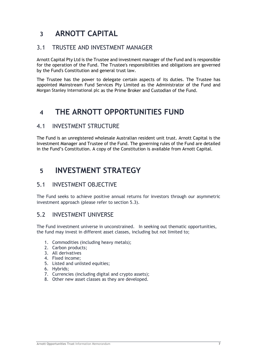## <span id="page-6-0"></span>**3 ARNOTT CAPITAL**

### 3.1 TRUSTEE AND INVESTMENT MANAGER

Arnott Capital Pty Ltd is the Trustee and investment manager of the Fund and is responsible for the operation of the Fund. The Trustee's responsibilities and obligations are governed by the Fund's Constitution and general trust law.

The Trustee has the power to delegate certain aspects of its duties. The Trustee has appointed Mainstream Fund Services Pty Limited as the Administrator of the Fund and Morgan Stanley International plc as the Prime Broker and Custodian of the Fund.

## <span id="page-6-1"></span>**4 THE ARNOTT OPPORTUNITIES FUND**

### 4.1 INVESTMENT STRUCTURE

The Fund is an unregistered wholesale Australian resident unit trust. Arnott Capital is the Investment Manager and Trustee of the Fund. The governing rules of the Fund are detailed in the Fund's Constitution. A copy of the Constitution is available from Arnott Capital.

## <span id="page-6-2"></span>**5 INVESTMENT STRATEGY**

### 5.1 INVESTMENT OBJECTIVE

The Fund seeks to achieve positive annual returns for investors through our asymmetric investment approach (please refer to section 5.3).

### 5.2 INVESTMENT UNIVERSE

The Fund investment universe in unconstrained. In seeking out thematic opportunities, the fund may invest in different asset classes, including but not limited to;

- 1. Commodities (including heavy metals);
- 2. Carbon products;
- 3. All derivatives
- 4. Fixed income;
- 5. Listed and unlisted equities;
- 6. Hybrids;
- 7. Currencies (including digital and crypto assets);
- 8. Other new asset classes as they are developed.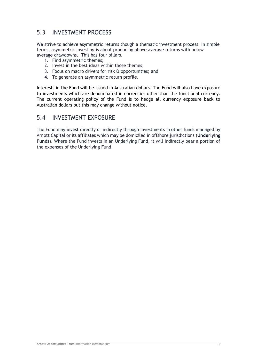### 5.3 INVESTMENT PROCESS

We strive to achieve asymmetric returns though a thematic investment process. In simple terms, asymmetric investing is about producing above average returns with below average drawdowns. This has four pillars.

- 1. Find asymmetric themes;
- 2. Invest in the best ideas within those themes;
- 3. Focus on macro drivers for risk & opportunities; and
- 4. To generate an asymmetric return profile.

Interests in the Fund will be issued in Australian dollars. The Fund will also have exposure to investments which are denominated in currencies other than the functional currency. The current operating policy of the Fund is to hedge all currency exposure back to Australian dollars but this may change without notice.

### 5.4 INVESTMENT EXPOSURE

The Fund may invest directly or indirectly through investments in other funds managed by Arnott Capital or its affiliates which may be domiciled in offshore jurisdictions (**Underlying Funds**). Where the Fund invests in an Underlying Fund, it will indirectly bear a portion of the expenses of the Underlying Fund.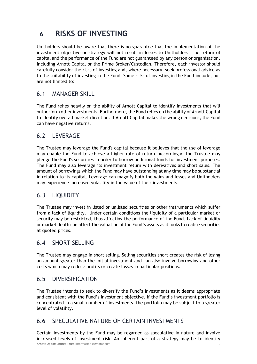## <span id="page-8-0"></span>**6 RISKS OF INVESTING**

Unitholders should be aware that there is no guarantee that the implementation of the investment objective or strategy will not result in losses to Unitholders. The return of capital and the performance of the Fund are not guaranteed by any person or organisation, including Arnott Capital or the Prime Broker/Custodian. Therefore, each investor should carefully consider the risks of investing and, where necessary, seek professional advice as to the suitability of investing in the Fund. Some risks of investing in the Fund include, but are not limited to:

### 6.1 MANAGER SKILL

The Fund relies heavily on the ability of Arnott Capital to identify investments that will outperform other investments. Furthermore, the Fund relies on the ability of Arnott Capital to identify overall market direction. If Arnott Capital makes the wrong decisions, the Fund can have negative returns.

### 6.2 LEVERAGE

The Trustee may leverage the Fund's capital because it believes that the use of leverage may enable the Fund to achieve a higher rate of return. Accordingly, the Trustee may pledge the Fund's securities in order to borrow additional funds for investment purposes. The Fund may also leverage its investment return with derivatives and short sales. The amount of borrowings which the Fund may have outstanding at any time may be substantial in relation to its capital. Leverage can magnify both the gains and losses and Unitholders may experience increased volatility in the value of their investments.

### 6.3 LIQUIDITY

The Trustee may invest in listed or unlisted securities or other instruments which suffer from a lack of liquidity. Under certain conditions the liquidity of a particular market or security may be restricted, thus affecting the performance of the Fund. Lack of liquidity or market depth can affect the valuation of the Fund's assets as it looks to realise securities at quoted prices.

### 6.4 SHORT SELLING

The Trustee may engage in short selling. Selling securities short creates the risk of losing an amount greater than the initial investment and can also involve borrowing and other costs which may reduce profits or create losses in particular positions.

### 6.5 DIVERSIFICATION

The Trustee intends to seek to diversify the Fund's investments as it deems appropriate and consistent with the Fund's investment objective. If the Fund's investment portfolio is concentrated in a small number of investments, the portfolio may be subject to a greater level of volatility.

### 6.6 SPECULATIVE NATURE OF CERTAIN INVESTMENTS

Certain investments by the Fund may be regarded as speculative in nature and involve increased levels of investment risk. An inherent part of a strategy may be to identify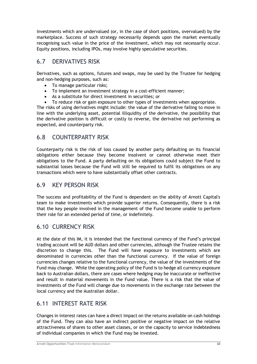investments which are undervalued (or, in the case of short positions, overvalued) by the marketplace. Success of such strategy necessarily depends upon the market eventually recognising such value in the price of the investment, which may not necessarily occur. Equity positions, including IPOs, may involve highly speculative securities.

### 6.7 DERIVATIVES RISK

Derivatives, such as options, futures and swaps, may be used by the Trustee for hedging and non-hedging purposes, such as:

- To manage particular risks;
- To implement an investment strategy in a cost-efficient manner;
- As a substitute for direct investment in securities; or
- To reduce risk or gain exposure to other types of investments when appropriate.

The risks of using derivatives might include: the value of the derivative failing to move in line with the underlying asset, potential illiquidity of the derivative, the possibility that the derivative position is difficult or costly to reverse, the derivative not performing as expected, and counterparty risk.

### 6.8 COUNTERPARTY RISK

Counterparty risk is the risk of loss caused by another party defaulting on its financial obligations either because they become insolvent or cannot otherwise meet their obligations to the Fund. A party defaulting on its obligations could subject the Fund to substantial losses because the Fund will still be required to fulfil its obligations on any transactions which were to have substantially offset other contracts.

### 6.9 KEY PERSON RISK

The success and profitability of the Fund is dependent on the ability of Arnott Capital's team to make investments which provide superior returns. Consequently, there is a risk that the key people involved in the management of the Fund become unable to perform their role for an extended period of time, or indefinitely.

### 6.10 CURRENCY RISK

At the date of this IM, it is intended that the functional currency of the Fund's principal trading account will be AUD dollars and other currencies, although the Trustee retains the discretion to change this. The Fund will have exposure to investments which are denominated in currencies other than the functional currency. If the value of foreign currencies changes relative to the functional currency, the value of the investments of the Fund may change. While the operating policy of the Fund is to hedge all currency exposure back to Australian dollars, there are cases where hedging may be inaccurate or ineffective and result in material movements in the Fund value. There is a risk that the value of investments of the Fund will change due to movements in the exchange rate between the local currency and the Australian dollar.

### 6.11 INTEREST RATE RISK

Changes in interest rates can have a direct impact on the returns available on cash holdings of the Fund. They can also have an indirect positive or negative impact on the relative attractiveness of shares to other asset classes, or on the capacity to service indebtedness of individual companies in which the Fund may be invested.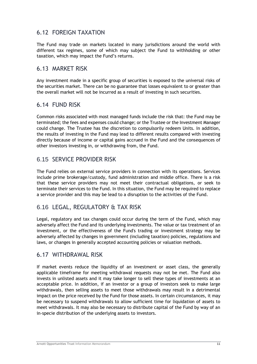### 6.12 FOREIGN TAXATION

The Fund may trade on markets located in many jurisdictions around the world with different tax regimes, some of which may subject the Fund to withholding or other taxation, which may impact the Fund's returns.

### 6.13 MARKET RISK

Any investment made in a specific group of securities is exposed to the universal risks of the securities market. There can be no guarantee that losses equivalent to or greater than the overall market will not be incurred as a result of investing in such securities.

### 6.14 FUND RISK

Common risks associated with most managed funds include the risk that: the Fund may be terminated; the fees and expenses could change; or the Trustee or the Investment Manager could change. The Trustee has the discretion to compulsorily redeem Units. In addition, the results of investing in the Fund may lead to different results compared with investing directly because of income or capital gains accrued in the Fund and the consequences of other investors investing in, or withdrawing from, the Fund.

### 6.15 SERVICE PROVIDER RISK

The Fund relies on external service providers in connection with its operations. Services include prime brokerage/custody, fund administration and middle office. There is a risk that these service providers may not meet their contractual obligations, or seek to terminate their services to the Fund. In this situation, the Fund may be required to replace a service provider and this may be lead to a disruption to the activities of the Fund.

### 6.16 LEGAL, REGULATORY & TAX RISK

Legal, regulatory and tax changes could occur during the term of the Fund, which may adversely affect the Fund and its underlying investments. The value or tax treatment of an investment, or the effectiveness of the Fund's trading or investment strategy may be adversely affected by changes in government (including taxation) policies, regulations and laws, or changes in generally accepted accounting policies or valuation methods.

### 6.17 WITHDRAWAL RISK

If market events reduce the liquidity of an investment or asset class, the generally applicable timeframe for meeting withdrawal requests may not be met. The Fund also invests in unlisted assets and it may take longer to sell these types of investments at an acceptable price. In addition, if an investor or a group of investors seek to make large withdrawals, then selling assets to meet those withdrawals may result in a detrimental impact on the price received by the Fund for those assets. In certain circumstances, it may be necessary to suspend withdrawals to allow sufficient time for liquidation of assets to meet withdrawals. It may also be necessary to distribute capital of the Fund by way of an in-specie distribution of the underlying assets to investors.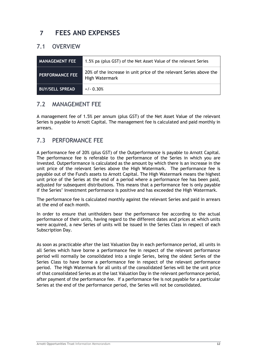## <span id="page-11-0"></span>**7 FEES AND EXPENSES**

### 7.1 OVERVIEW

| <b>MANAGEMENT FEE</b>  | 1.5% pa (plus GST) of the Net Asset Value of the relevant Series                     |
|------------------------|--------------------------------------------------------------------------------------|
| <b>PERFORMANCE FEE</b> | 20% of the increase in unit price of the relevant Series above the<br>High Watermark |
| <b>BUY/SELL SPREAD</b> | $+/- 0.30%$                                                                          |

### 7.2 MANAGEMENT FEE

A management fee of 1.5% per annum (plus GST) of the Net Asset Value of the relevant Series is payable to Arnott Capital. The management fee is calculated and paid monthly in arrears.

### 7.3 PERFORMANCE FEE

A performance fee of 20% (plus GST) of the Outperformance is payable to Arnott Capital. The performance fee is referable to the performance of the Series in which you are invested. Outperformance is calculated as the amount by which there is an increase in the unit price of the relevant Series above the High Watermark. The performance fee is payable out of the Fund's assets to Arnott Capital. The High Watermark means the highest unit price of the Series at the end of a period where a performance fee has been paid, adjusted for subsequent distributions. This means that a performance fee is only payable if the Series' investment performance is positive and has exceeded the High Watermark.

The performance fee is calculated monthly against the relevant Series and paid in arrears at the end of each month.

In order to ensure that unitholders bear the performance fee according to the actual performance of their units, having regard to the different dates and prices at which units were acquired, a new Series of units will be issued in the Series Class in respect of each Subscription Day.

As soon as practicable after the last Valuation Day in each performance period, all units in all Series which have borne a performance fee in respect of the relevant performance period will normally be consolidated into a single Series, being the oldest Series of the Series Class to have borne a performance fee in respect of the relevant performance period. The High Watermark for all units of the consolidated Series will be the unit price of that consolidated Series as at the last Valuation Day in the relevant performance period, after payment of the performance fee. If a performance fee is not payable for a particular Series at the end of the performance period, the Series will not be consolidated.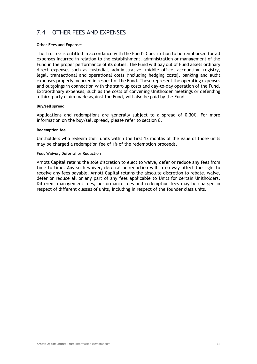### 7.4 OTHER FEES AND EXPENSES

#### **Other Fees and Expenses**

The Trustee is entitled in accordance with the Fund's Constitution to be reimbursed for all expenses incurred in relation to the establishment, administration or management of the Fund in the proper performance of its duties. The Fund will pay out of Fund assets ordinary direct expenses such as custodial, administrative, middle office, accounting, registry, legal, transactional and operational costs (including hedging costs), banking and audit expenses properly incurred in respect of the Fund. These represent the operating expenses and outgoings in connection with the start-up costs and day-to-day operation of the Fund. Extraordinary expenses, such as the costs of convening Unitholder meetings or defending a third-party claim made against the Fund, will also be paid by the Fund.

#### **Buy/sell spread**

Applications and redemptions are generally subject to a spread of 0.30%. For more information on the buy/sell spread, please refer to section 8.

#### **Redemption fee**

Unitholders who redeem their units within the first 12 months of the issue of those units may be charged a redemption fee of 1% of the redemption proceeds.

#### **Fees Waiver, Deferral or Reduction**

Arnott Capital retains the sole discretion to elect to waive, defer or reduce any fees from time to time. Any such waiver, deferral or reduction will in no way affect the right to receive any fees payable. Arnott Capital retains the absolute discretion to rebate, waive, defer or reduce all or any part of any fees applicable to Units for certain Unitholders. Different management fees, performance fees and redemption fees may be charged in respect of different classes of units, including in respect of the founder class units.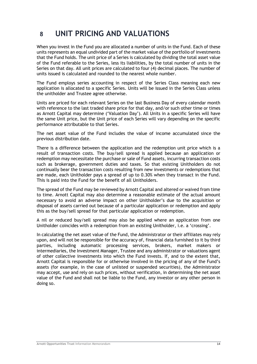## <span id="page-13-0"></span>**8 UNIT PRICING AND VALUATIONS**

When you invest in the Fund you are allocated a number of units in the Fund. Each of these units represents an equal undivided part of the market value of the portfolio of investments that the Fund holds. The unit price of a Series is calculated by dividing the total asset value of the Fund referable to the Series, less its liabilities, by the total number of units in the Series on that day. All unit prices are calculated to four (4) decimal places. The number of units issued is calculated and rounded to the nearest whole number.

The Fund employs series accounting in respect of the Series Class meaning each new application is allocated to a specific Series. Units will be issued in the Series Class unless the unitholder and Trustee agree otherwise.

Units are priced for each relevant Series on the last Business Day of every calendar month with reference to the last traded share price for that day, and/or such other time or times as Arnott Capital may determine ('Valuation Day'). All Units in a specific Series will have the same Unit price, but the Unit price of each Series will vary depending on the specific performance attributable to that Series.

The net asset value of the Fund includes the value of income accumulated since the previous distribution date.

There is a difference between the application and the redemption unit price which is a result of transaction costs. The buy/sell spread is applied because an application or redemption may necessitate the purchase or sale of Fund assets, incurring transaction costs such as brokerage, government duties and taxes. So that existing Unitholders do not continually bear the transaction costs resulting from new investments or redemptions that are made, each Unitholder pays a spread of up to 0.30% when they transact in the Fund. This is paid into the Fund for the benefit of all Unitholders.

The spread of the Fund may be reviewed by Arnott Capital and altered or waived from time to time. Arnott Capital may also determine a reasonable estimate of the actual amount necessary to avoid an adverse impact on other Unitholder's due to the acquisition or disposal of assets carried out because of a particular application or redemption and apply this as the buy/sell spread for that particular application or redemption.

A nil or reduced buy/sell spread may also be applied where an application from one Unitholder coincides with a redemption from an existing Unitholder, i.e. a 'crossing'.

In calculating the net asset value of the Fund, the Administrator or their affiliates may rely upon, and will not be responsible for the accuracy of, financial data furnished to it by third parties, including automatic processing services, brokers, market makers or intermediaries, the Investment Manager, Trustee and any administrator or valuations agent of other collective investments into which the Fund invests. If, and to the extent that, Arnott Capital is responsible for or otherwise involved in the pricing of any of the Fund's assets (for example, in the case of unlisted or suspended securities), the Administrator may accept, use and rely on such prices, without verification, in determining the net asset value of the Fund and shall not be liable to the Fund, any investor or any other person in doing so.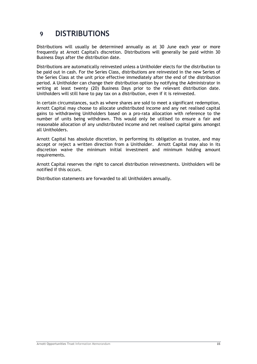## <span id="page-14-0"></span>**9 DISTRIBUTIONS**

Distributions will usually be determined annually as at 30 June each year or more frequently at Arnott Capital's discretion. Distributions will generally be paid within 30 Business Days after the distribution date.

Distributions are automatically reinvested unless a Unitholder elects for the distribution to be paid out in cash. For the Series Class, distributions are reinvested in the new Series of the Series Class at the unit price effective immediately after the end of the distribution period. A Unitholder can change their distribution option by notifying the Administrator in writing at least twenty (20) Business Days prior to the relevant distribution date. Unitholders will still have to pay tax on a distribution, even if it is reinvested.

In certain circumstances, such as where shares are sold to meet a significant redemption, Arnott Capital may choose to allocate undistributed income and any net realised capital gains to withdrawing Unitholders based on a pro-rata allocation with reference to the number of units being withdrawn. This would only be utilised to ensure a fair and reasonable allocation of any undistributed income and net realised capital gains amongst all Unitholders.

Arnott Capital has absolute discretion, in performing its obligation as trustee, and may accept or reject a written direction from a Unitholder. Arnott Capital may also in its discretion waive the minimum initial investment and minimum holding amount requirements.

Arnott Capital reserves the right to cancel distribution reinvestments. Unitholders will be notified if this occurs.

Distribution statements are forwarded to all Unitholders annually.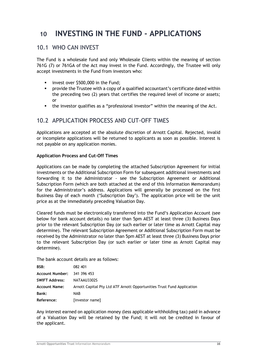## <span id="page-15-0"></span>**10 INVESTING IN THE FUND - APPLICATIONS**

### 10.1 WHO CAN INVEST

The Fund is a wholesale fund and only Wholesale Clients within the meaning of section 761G (7) or 761GA of the Act may invest in the Fund. Accordingly, the Trustee will only accept investments in the Fund from investors who:

- **■** invest over \$500,000 in the Fund;
- provide the Trustee with a copy of a qualified accountant's certificate dated within the preceding two (2) years that certifies the required level of income or assets; or
- the investor qualifies as a "professional investor" within the meaning of the Act.

### 10.2 APPLICATION PROCESS AND CUT-OFF TIMES

Applications are accepted at the absolute discretion of Arnott Capital. Rejected, invalid or incomplete applications will be returned to applicants as soon as possible. Interest is not payable on any application monies.

#### **Application Process and Cut-Off Times**

Applications can be made by completing the attached Subscription Agreement for initial investments or the Additional Subscription Form for subsequent additional investments and forwarding it to the Administrator - see the Subscription Agreement or Additional Subscription Form (which are both attached at the end of this Information Memorandum) for the Administrator's address. Applications will generally be processed on the first Business Day of each month ('Subscription Day'). The application price will be the unit price as at the immediately preceding Valuation Day.

Cleared funds must be electronically transferred into the Fund's Application Account (see below for bank account details) no later than 5pm AEST at least three (3) Business Days prior to the relevant Subscription Day (or such earlier or later time as Arnott Capital may determine). The relevant Subscription Agreement or Additional Subscription Form must be received by the Administrator no later than 5pm AEST at least three (3) Business Days prior to the relevant Subscription Day (or such earlier or later time as Arnott Capital may determine).

The bank account details are as follows:

| BSB:                               | 082 401                                                                |
|------------------------------------|------------------------------------------------------------------------|
| <b>Account Number: 341 396 453</b> |                                                                        |
| <b>SWIFT Address:</b>              | NATAAU3302S                                                            |
| <b>Account Name:</b>               | Arnott Capital Pty Ltd ATF Arnott Opportunities Trust Fund Application |
| Bank:                              | NAB                                                                    |
| Reference:                         | [investor name]                                                        |

Any interest earned on application money (less applicable withholding tax) paid in advance of a Valuation Day will be retained by the Fund; it will not be credited in favour of the applicant.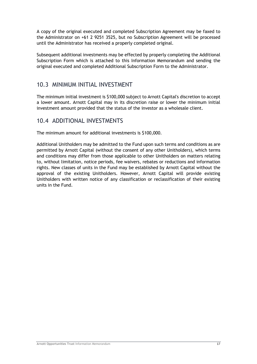A copy of the original executed and completed Subscription Agreement may be faxed to the Administrator on +61 2 9251 3525, but no Subscription Agreement will be processed until the Administrator has received a properly completed original.

Subsequent additional investments may be effected by properly completing the Additional Subscription Form which is attached to this Information Memorandum and sending the original executed and completed Additional Subscription Form to the Administrator.

### 10.3 MINIMUM INITIAL INVESTMENT

The minimum initial investment is \$100,000 subject to Arnott Capital's discretion to accept a lower amount. Arnott Capital may in its discretion raise or lower the minimum initial investment amount provided that the status of the investor as a wholesale client.

### 10.4 ADDITIONAL INVESTMENTS

The minimum amount for additional investments is \$100,000.

Additional Unitholders may be admitted to the Fund upon such terms and conditions as are permitted by Arnott Capital (without the consent of any other Unitholders), which terms and conditions may differ from those applicable to other Unitholders on matters relating to, without limitation, notice periods, fee waivers, rebates or reductions and information rights. New classes of units in the Fund may be established by Arnott Capital without the approval of the existing Unitholders. However, Arnott Capital will provide existing Unitholders with written notice of any classification or reclassification of their existing units in the Fund.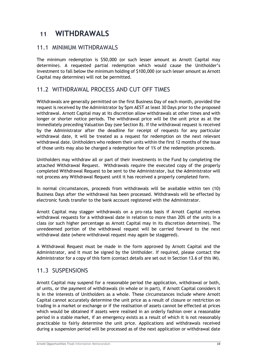## <span id="page-17-0"></span>**11 WITHDRAWALS**

### 11.1 MINIMUM WITHDRAWALS

The minimum redemption is \$50,000 (or such lesser amount as Arnott Capital may determine). A requested partial redemption which would cause the Unitholder's investment to fall below the minimum holding of \$100,000 (or such lesser amount as Arnott Capital may determine) will not be permitted.

### 11.2 WITHDRAWAL PROCESS AND CUT OFF TIMES

Withdrawals are generally permitted on the first Business Day of each month, provided the request is received by the Administrator by 5pm AEST at least 30 Days prior to the proposed withdrawal. Arnott Capital may at its discretion allow withdrawals at other times and with longer or shorter notice periods. The withdrawal price will be the unit price as at the immediately preceding Valuation Day (see Section 8). If the withdrawal request is received by the Administrator after the deadline for receipt of requests for any particular withdrawal date, it will be treated as a request for redemption on the next relevant withdrawal date. Unitholders who redeem their units within the first 12 months of the issue of those units may also be charged a redemption fee of 1% of the redemption proceeds.

Unitholders may withdraw all or part of their investments in the Fund by completing the attached Withdrawal Request. Withdrawals require the executed copy of the properly completed Withdrawal Request to be sent to the Administrator, but the Administrator will not process any Withdrawal Request until it has received a properly completed form.

In normal circumstances, proceeds from withdrawals will be available within ten (10) Business Days after the withdrawal has been processed. Withdrawals will be effected by electronic funds transfer to the bank account registered with the Administrator.

Arnott Capital may stagger withdrawals on a pro-rata basis if Arnott Capital receives withdrawal requests for a withdrawal date in relation to more than 20% of the units in a class (or such higher percentage as Arnott Capital may in its discretion determine). The unredeemed portion of the withdrawal request will be carried forward to the next withdrawal date (where withdrawal request may again be staggered).

A Withdrawal Request must be made in the form approved by Arnott Capital and the Administrator, and it must be signed by the Unitholder. If required, please contact the Administrator for a copy of this form (contact details are set out in Section 13.6 of this IM).

### 11.3 SUSPENSIONS

Arnott Capital may suspend for a reasonable period the application, withdrawal or both, of units, or the payment of withdrawals (in whole or in part), if Arnott Capital considers it is in the interests of Unitholders as a whole. These circumstances include where Arnott Capital cannot accurately determine the unit price as a result of closure or restriction on trading in a market or exchange or if the realisation of assets cannot be effected at prices which would be obtained if assets were realised in an orderly fashion over a reasonable period in a stable market, if an emergency exists as a result of which it is not reasonably practicable to fairly determine the unit price. Applications and withdrawals received during a suspension period will be processed as of the next application or withdrawal date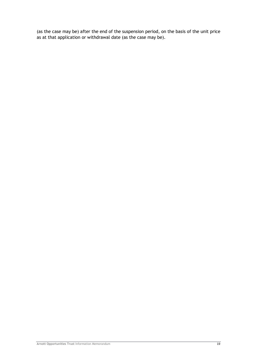(as the case may be) after the end of the suspension period, on the basis of the unit price as at that application or withdrawal date (as the case may be).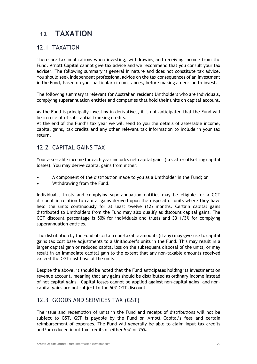## <span id="page-19-0"></span>**12 TAXATION**

### 12.1 TAXATION

There are tax implications when investing, withdrawing and receiving income from the Fund. Arnott Capital cannot give tax advice and we recommend that you consult your tax adviser. The following summary is general in nature and does not constitute tax advice. You should seek independent professional advice on the tax consequences of an investment in the Fund, based on your particular circumstances, before making a decision to invest.

The following summary is relevant for Australian resident Unitholders who are individuals, complying superannuation entities and companies that hold their units on capital account.

As the Fund is principally investing in derivatives, it is not anticipated that the Fund will be in receipt of substantial franking credits.

At the end of the Fund's tax year we will send to you the details of assessable income, capital gains, tax credits and any other relevant tax information to include in your tax return.

### 12.2 CAPITAL GAINS TAX

Your assessable income for each year includes net capital gains (i.e. after offsetting capital losses). You may derive capital gains from either:

- A component of the distribution made to you as a Unitholder in the Fund; or
- Withdrawing from the Fund.

Individuals, trusts and complying superannuation entities may be eligible for a CGT discount in relation to capital gains derived upon the disposal of units where they have held the units continuously for at least twelve (12) months. Certain capital gains distributed to Unitholders from the Fund may also qualify as discount capital gains. The CGT discount percentage is 50% for individuals and trusts and 33 1/3% for complying superannuation entities.

The distribution by the Fund of certain non-taxable amounts (if any) may give rise to capital gains tax cost base adjustments to a Unitholder's units in the Fund. This may result in a larger capital gain or reduced capital loss on the subsequent disposal of the units, or may result in an immediate capital gain to the extent that any non-taxable amounts received exceed the CGT cost base of the units.

Despite the above, it should be noted that the Fund anticipates holding its investments on revenue account, meaning that any gains should be distributed as ordinary income instead of net capital gains. Capital losses cannot be applied against non-capital gains, and noncapital gains are not subject to the 50% CGT discount.

### 12.3 GOODS AND SERVICES TAX (GST)

The issue and redemption of units in the Fund and receipt of distributions will not be subject to GST. GST is payable by the Fund on Arnott Capital's fees and certain reimbursement of expenses. The Fund will generally be able to claim input tax credits and/or reduced input tax credits of either 55% or 75%.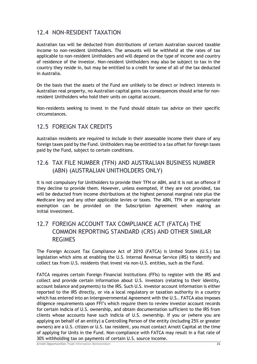### 12.4 NON-RESIDENT TAXATION

Australian tax will be deducted from distributions of certain Australian sourced taxable income to non-resident Unitholders. The amounts will be withheld at the rates of tax applicable to non-resident Unitholders and will depend on the type of income and country of residence of the investor. Non-resident Unitholders may also be subject to tax in the country they reside in, but may be entitled to a credit for some of all of the tax deducted in Australia.

On the basis that the assets of the Fund are unlikely to be direct or indirect interests in Australian real property, no Australian capital gains tax consequences should arise for nonresident Unitholders who hold their units on capital account.

Non-residents seeking to invest in the Fund should obtain tax advice on their specific circumstances.

### 12.5 FOREIGN TAX CREDITS

Australian residents are required to include in their assessable income their share of any foreign taxes paid by the Fund. Unitholders may be entitled to a tax offset for foreign taxes paid by the Fund, subject to certain conditions.

### 12.6 TAX FILE NUMBER (TFN) AND AUSTRALIAN BUSINESS NUMBER (ABN) (AUSTRALIAN UNITHOLDERS ONLY)

It is not compulsory for Unitholders to provide their TFN or ABN, and it is not an offence if they decline to provide them. However, unless exempted, if they are not provided, tax will be deducted from income distributions at the highest personal marginal rate plus the Medicare levy and any other applicable levies or taxes. The ABN, TFN or an appropriate exemption can be provided on the Subscription Agreement when making an initial investment.

### 12.7 FOREIGN ACCOUNT TAX COMPLIANCE ACT (FATCA) THE COMMON REPORTING STANDARD (CRS) AND OTHER SIMILAR REGIMES

The Foreign Account Tax Compliance Act of 2010 (FATCA) is United States (U.S.) tax legislation which aims at enabling the U.S. Internal Revenue Service (IRS) to identify and collect tax from U.S. residents that invest via non-U.S. entities, such as the Fund.

FATCA requires certain Foreign Financial Institutions (FFIs) to register with the IRS and collect and provide certain information about U.S. investors (relating to their identity, account balance and payments) to the IRS. Such U.S. investor account information is either reported to the IRS directly, or via a local regulatory or taxation authority in a country which has entered into an Intergovernmental Agreement with the U.S.. FATCA also imposes diligence requirements upon FFI's which require them to review investor account records for certain indicia of U.S. ownership, and obtain documentation sufficient to the IRS from clients whose accounts have such indicia of U.S. ownership. If you or (where you are applying on behalf of an entity) a Controlling Person of the entity (including 25% or greater owners) are a U.S. citizen or U.S. tax resident, you must contact Arnott Capital at the time of applying for Units in the Fund. Non-compliance with FATCA may result in a flat rate of 30% withholding tax on payments of certain U.S. source income.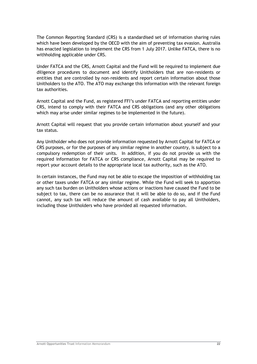The Common Reporting Standard (CRS) is a standardised set of information sharing rules which have been developed by the OECD with the aim of preventing tax evasion. Australia has enacted legislation to implement the CRS from 1 July 2017. Unlike FATCA, there is no withholding applicable under CRS.

Under FATCA and the CRS, Arnott Capital and the Fund will be required to implement due diligence procedures to document and identify Unitholders that are non-residents or entities that are controlled by non-residents and report certain information about those Unitholders to the ATO. The ATO may exchange this information with the relevant foreign tax authorities.

Arnott Capital and the Fund, as registered FFI's under FATCA and reporting entities under CRS, intend to comply with their FATCA and CRS obligations (and any other obligations which may arise under similar regimes to be implemented in the future).

Arnott Capital will request that you provide certain information about yourself and your tax status.

Any Unitholder who does not provide information requested by Arnott Capital for FATCA or CRS purposes, or for the purposes of any similar regime in another country, is subject to a compulsory redemption of their units. In addition, if you do not provide us with the required information for FATCA or CRS compliance, Arnott Capital may be required to report your account details to the appropriate local tax authority, such as the ATO.

In certain instances, the Fund may not be able to escape the imposition of withholding tax or other taxes under FATCA or any similar regime. While the Fund will seek to apportion any such tax burden on Unitholders whose actions or inactions have caused the Fund to be subject to tax, there can be no assurance that it will be able to do so, and if the Fund cannot, any such tax will reduce the amount of cash available to pay all Unitholders, including those Unitholders who have provided all requested information.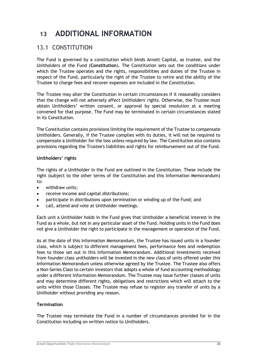## <span id="page-22-0"></span>**13 ADDITIONAL INFORMATION**

### 13.1 CONSTITUTION

The Fund is governed by a constitution which binds Arnott Capital, as trustee, and the Unitholders of the Fund (**Constitution**). The Constitution sets out the conditions under which the Trustee operates and the rights, responsibilities and duties of the Trustee in respect of the Fund, particularly the right of the Trustee to retire and the ability of the Trustee to charge fees and recover expenses are included in the Constitution.

The Trustee may alter the Constitution in certain circumstances if it reasonably considers that the change will not adversely affect Unitholders' rights. Otherwise, the Trustee must obtain Unitholders' written consent, or approval by special resolution at a meeting convened for that purpose. The Fund may be terminated in certain circumstances stated in its Constitution.

The Constitution contains provisions limiting the requirement of the Trustee to compensate Unitholders. Generally, if the Trustee complies with its duties, it will not be required to compensate a Unitholder for the loss unless required by law. The Constitution also contains provisions regarding the Trustee's liabilities and rights for reimbursement out of the Fund.

#### **Unitholders' rights**

The rights of a Unitholder in the Fund are outlined in the Constitution. These include the right (subject to the other terms of the Constitution and this Information Memorandum) to:

- withdraw units;
- receive income and capital distributions;
- participate in distributions upon termination or winding up of the Fund; and
- call, attend and vote at Unitholder meetings.

Each unit a Unitholder holds in the Fund gives that Unitholder a beneficial interest in the Fund as a whole, but not in any particular asset of the Fund. Holding units in the Fund does not give a Unitholder the right to participate in the management or operation of the Fund.

As at the date of this Information Memorandum, the Trustee has issued units in a founder class, which is subject to different management fees, performance fees and redemption fees to those set out in this Information Memorandum. Additional investments received from founder class unitholders will be invested in the new class of units offered under this Information Memorandum unless otherwise agreed by the Trustee. The Trustee also offers a Non-Series Class to certain investors that adopts a whole of fund accounting methodology under a different Information Memorandum. The Trustee may issue further classes of units and may determine different rights, obligations and restrictions which will attach to the units within those Classes. The Trustee may refuse to register any transfer of units by a Unitholder without providing any reason.

#### **Termination**

The Trustee may terminate the Fund in a number of circumstances provided for in the Constitution including on written notice to Unitholders.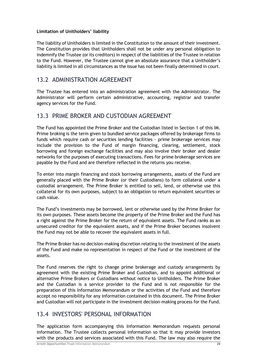#### **Limitation of Unitholders' liability**

The liability of Unitholders is limited in the Constitution to the amount of their investment. The Constitution provides that Unitholders shall not be under any personal obligation to indemnify the Trustee (or its creditors) in respect of the liabilities of the Trustee in relation to the Fund. However, the Trustee cannot give an absolute assurance that a Unitholder's liability is limited in all circumstances as the issue has not been finally determined in court.

### 13.2 ADMINISTRATION AGREEMENT

The Trustee has entered into an administration agreement with the Administrator. The Administrator will perform certain administrative, accounting, registrar and transfer agency services for the Fund.

### 13.3 PRIME BROKER AND CUSTODIAN AGREEMENT

The Fund has appointed the Prime Broker and the Custodian listed in Section 1 of this IM. Prime broking is the term given to bundled service packages offered by brokerage firms to funds which require cash or securities lending facilities - prime brokerage services may include the provision to the Fund of margin financing, clearing, settlement, stock borrowing and foreign exchange facilities and may also involve their broker and dealer networks for the purposes of executing transactions. Fees for prime brokerage services are payable by the Fund and are therefore reflected in the returns you receive.

To enter into margin financing and stock borrowing arrangements, assets of the Fund are generally placed with the Prime Broker (or their Custodians) to form collateral under a custodial arrangement. The Prime Broker is entitled to sell, lend, or otherwise use this collateral for its own purposes, subject to an obligation to return equivalent securities or cash value.

The Fund's investments may be borrowed, lent or otherwise used by the Prime Broker for its own purposes. These assets become the property of the Prime Broker and the Fund has a right against the Prime Broker for the return of equivalent assets. The Fund ranks as an unsecured creditor for the equivalent assets, and if the Prime Broker becomes insolvent the Fund may not be able to recover the equivalent assets in full.

The Prime Broker has no decision-making discretion relating to the investment of the assets of the Fund and make no representation in respect of the Fund or the investment of the assets.

The Fund reserves the right to change prime brokerage and custody arrangements by agreement with the existing Prime Broker and Custodian, and to appoint additional or alternative Prime Brokers or Custodians without notice to Unitholders. The Prime Broker and the Custodian is a service provider to the Fund and is not responsible for the preparation of this Information Memorandum or the activities of the Fund and therefore accept no responsibility for any information contained in this document. The Prime Broker and Custodian will not participate in the investment decision-making process for the Fund.

### 13.4 INVESTORS' PERSONAL INFORMATION

The application form accompanying this Information Memorandum requests personal information. The Trustee collects personal information so that it may provide investors with the products and services associated with this Fund. The law may also require the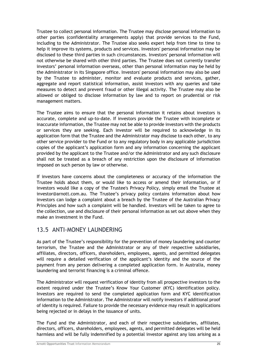Trustee to collect personal information. The Trustee may disclose personal information to other parties (confidentiality arrangements apply) that provide services to the Fund, including to the Administrator. The Trustee also seeks expert help from time to time to help it improve its systems, products and services. Investors' personal information may be disclosed to these third parties in such circumstances. Investors' personal information will not otherwise be shared with other third parties. The Trustee does not currently transfer investors' personal information overseas, other than personal information may be held by the Administrator in its Singapore office. Investors' personal information may also be used by the Trustee to administer, monitor and evaluate products and services, gather, aggregate and report statistical information, assist investors with any queries and take measures to detect and prevent fraud or other illegal activity. The Trustee may also be allowed or obliged to disclose information by law and to report on prudential or risk management matters.

The Trustee aims to ensure that the personal information it retains about investors is accurate, complete and up-to-date. If investors provide the Trustee with incomplete or inaccurate information, the Trustee may not be able to provide investors with the products or services they are seeking. Each investor will be required to acknowledge in its application form that the Trustee and the Administrator may disclose to each other, to any other service provider to the Fund or to any regulatory body in any applicable jurisdiction copies of the applicant's application form and any information concerning the applicant provided by the applicant to the Trustee and/or the Administrator and any such disclosure shall not be treated as a breach of any restriction upon the disclosure of information imposed on such person by law or otherwise.

If investors have concerns about the completeness or accuracy of the information the Trustee holds about them, or would like to access or amend their information, or if investors would like a copy of the Trustee's Privacy Policy, simply email the Trustee at investor@arnott.com.au. The Trustee's privacy policy contains information about how investors can lodge a complaint about a breach by the Trustee of the Australian Privacy Principles and how such a complaint will be handled. Investors will be taken to agree to the collection, use and disclosure of their personal information as set out above when they make an investment in the Fund.

### 13.5 ANTI-MONEY LAUNDERING

As part of the Trustee's responsibility for the prevention of money laundering and counter terrorism, the Trustee and the Administrator or any of their respective subsidiaries, affiliates, directors, officers, shareholders, employees, agents, and permitted delegates will require a detailed verification of the applicant's identity and the source of the payment from any person delivering a completed application form. In Australia, money laundering and terrorist financing is a criminal offence.

The Administrator will request verification of identity from all prospective investors to the extent required under the Trustee's Know Your Customer (KYC) identification policy. Investors are required to send the completed application form and KYC identification information to the Administrator. The Administrator will notify investors if additional proof of identity is required. Failure to provide the necessary evidence may result in applications being rejected or in delays in the issuance of units.

The Fund and the Administrator, and each of their respective subsidiaries, affiliates, directors, officers, shareholders, employees, agents, and permitted delegates will be held harmless and will be fully indemnified by a potential investor against any loss arising as a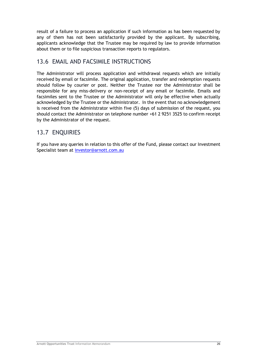result of a failure to process an application if such information as has been requested by any of them has not been satisfactorily provided by the applicant. By subscribing, applicants acknowledge that the Trustee may be required by law to provide information about them or to file suspicious transaction reports to regulators.

### 13.6 EMAIL AND FACSIMILE INSTRUCTIONS

The Administrator will process application and withdrawal requests which are initially received by email or facsimile. The original application, transfer and redemption requests should follow by courier or post. Neither the Trustee nor the Administrator shall be responsible for any miss-delivery or non-receipt of any email or facsimile. Emails and facsimiles sent to the Trustee or the Administrator will only be effective when actually acknowledged by the Trustee or the Administrator. In the event that no acknowledgement is received from the Administrator within five (5) days of submission of the request, you should contact the Administrator on telephone number +61 2 9251 3525 to confirm receipt by the Administrator of the request.

### 13.7 ENQUIRIES

If you have any queries in relation to this offer of the Fund, please contact our Investment Specialist team at [investor@arnott.com.au](mailto:investor@arnott.com.au)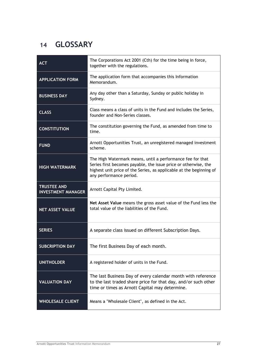## <span id="page-26-0"></span>**14 GLOSSARY**

| <b>ACT</b>                                      | The Corporations Act 2001 (Cth) for the time being in force,<br>together with the regulations.                                                                                                                                  |
|-------------------------------------------------|---------------------------------------------------------------------------------------------------------------------------------------------------------------------------------------------------------------------------------|
| <b>APPLICATION FORM</b>                         | The application form that accompanies this Information<br>Memorandum.                                                                                                                                                           |
| <b>BUSINESS DAY</b>                             | Any day other than a Saturday, Sunday or public holiday in<br>Sydney.                                                                                                                                                           |
| <b>CLASS</b>                                    | Class means a class of units in the Fund and includes the Series,<br>founder and Non-Series classes.                                                                                                                            |
| <b>CONSTITUTION</b>                             | The constitution governing the Fund, as amended from time to<br>time.                                                                                                                                                           |
| <b>FUND</b>                                     | Arnott Opportunities Trust, an unregistered managed investment<br>scheme.                                                                                                                                                       |
| <b>HIGH WATERMARK</b>                           | The High Watermark means, until a performance fee for that<br>Series first becomes payable, the issue price or otherwise, the<br>highest unit price of the Series, as applicable at the beginning of<br>any performance period. |
| <b>TRUSTEE AND</b><br><b>INVESTMENT MANAGER</b> | Arnott Capital Pty Limited.                                                                                                                                                                                                     |
| <b>NET ASSET VALUE</b>                          | Net Asset Value means the gross asset value of the Fund less the<br>total value of the liabilities of the Fund.                                                                                                                 |
| <b>SERIES</b>                                   | A separate class issued on different Subscription Days.                                                                                                                                                                         |
| <b>SUBCRIPTION DAY</b>                          | The first Business Day of each month.                                                                                                                                                                                           |
| <b>UNITHOLDER</b>                               | A registered holder of units in the Fund.                                                                                                                                                                                       |
| <b>VALUATION DAY</b>                            | The last Business Day of every calendar month with reference<br>to the last traded share price for that day, and/or such other<br>time or times as Arnott Capital may determine.                                                |
| <b>WHOLESALE CLIENT</b>                         | Means a "Wholesale Client", as defined in the Act.                                                                                                                                                                              |